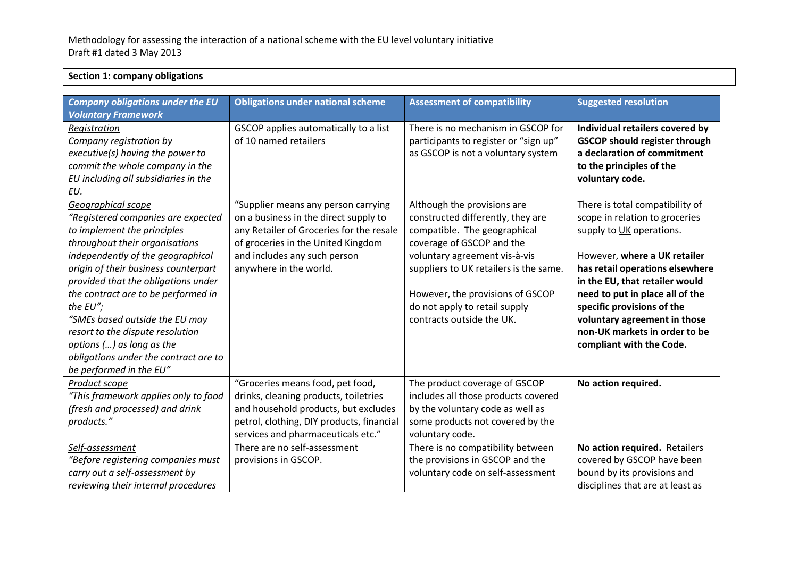## **Section 1: company obligations** *Company obligations under the EU Voluntary Framework* **Obligations under national scheme Assessment of compatibility Assessment of compatibility Suggested resolution** *Registration Company registration by*  GSCOP applies automatically to a list  $\overline{\phantom{a}}$  of 10 named retailers There is no mechanism in GSCOP for  $\frac{1}{2}$  participants to register or "sign up"

| Company registration by<br>executive(s) having the power to<br>commit the whole company in the<br>EU including all subsidiaries in the<br>EU.                                                                                                                                                                                                                                                                                                                               | of 10 named retailers                                                                                                                                                                                                                                        | participants to register or "sign up"<br>as GSCOP is not a voluntary system                                                                                                                                                                                                                                | <b>GSCOP should register through</b><br>a declaration of commitment<br>to the principles of the<br>voluntary code.                                                                                                                                                                                                                                               |
|-----------------------------------------------------------------------------------------------------------------------------------------------------------------------------------------------------------------------------------------------------------------------------------------------------------------------------------------------------------------------------------------------------------------------------------------------------------------------------|--------------------------------------------------------------------------------------------------------------------------------------------------------------------------------------------------------------------------------------------------------------|------------------------------------------------------------------------------------------------------------------------------------------------------------------------------------------------------------------------------------------------------------------------------------------------------------|------------------------------------------------------------------------------------------------------------------------------------------------------------------------------------------------------------------------------------------------------------------------------------------------------------------------------------------------------------------|
| Geographical scope<br>"Registered companies are expected<br>to implement the principles<br>throughout their organisations<br>independently of the geographical<br>origin of their business counterpart<br>provided that the obligations under<br>the contract are to be performed in<br>the $EU''$ ;<br>"SMEs based outside the EU may<br>resort to the dispute resolution<br>options () as long as the<br>obligations under the contract are to<br>be performed in the EU" | "Supplier means any person carrying<br>on a business in the direct supply to<br>any Retailer of Groceries for the resale<br>of groceries in the United Kingdom<br>and includes any such person<br>anywhere in the world.                                     | Although the provisions are<br>constructed differently, they are<br>compatible. The geographical<br>coverage of GSCOP and the<br>voluntary agreement vis-à-vis<br>suppliers to UK retailers is the same.<br>However, the provisions of GSCOP<br>do not apply to retail supply<br>contracts outside the UK. | There is total compatibility of<br>scope in relation to groceries<br>supply to UK operations.<br>However, where a UK retailer<br>has retail operations elsewhere<br>in the EU, that retailer would<br>need to put in place all of the<br>specific provisions of the<br>voluntary agreement in those<br>non-UK markets in order to be<br>compliant with the Code. |
| Product scope<br>"This framework applies only to food<br>(fresh and processed) and drink<br>products."<br>Self-assessment<br>"Before registering companies must<br>carry out a self-assessment by<br>reviewing their internal procedures                                                                                                                                                                                                                                    | "Groceries means food, pet food,<br>drinks, cleaning products, toiletries<br>and household products, but excludes<br>petrol, clothing, DIY products, financial<br>services and pharmaceuticals etc."<br>There are no self-assessment<br>provisions in GSCOP. | The product coverage of GSCOP<br>includes all those products covered<br>by the voluntary code as well as<br>some products not covered by the<br>voluntary code.<br>There is no compatibility between<br>the provisions in GSCOP and the<br>voluntary code on self-assessment                               | No action required.<br>No action required. Retailers<br>covered by GSCOP have been<br>bound by its provisions and<br>disciplines that are at least as                                                                                                                                                                                                            |

**Individual retailers covered by**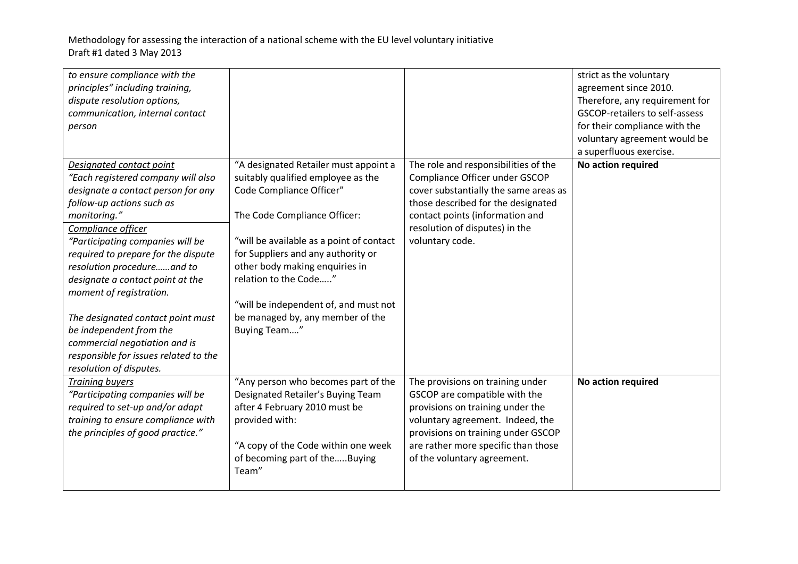| to ensure compliance with the<br>principles" including training,<br>dispute resolution options,<br>communication, internal contact<br>person                                                                                                                                                                                                                                                                                                                                                                         |                                                                                                                                                                                                                                                                                                                                                                                   |                                                                                                                                                                                                                                                       | strict as the voluntary<br>agreement since 2010.<br>Therefore, any requirement for<br>GSCOP-retailers to self-assess<br>for their compliance with the<br>voluntary agreement would be<br>a superfluous exercise. |
|----------------------------------------------------------------------------------------------------------------------------------------------------------------------------------------------------------------------------------------------------------------------------------------------------------------------------------------------------------------------------------------------------------------------------------------------------------------------------------------------------------------------|-----------------------------------------------------------------------------------------------------------------------------------------------------------------------------------------------------------------------------------------------------------------------------------------------------------------------------------------------------------------------------------|-------------------------------------------------------------------------------------------------------------------------------------------------------------------------------------------------------------------------------------------------------|------------------------------------------------------------------------------------------------------------------------------------------------------------------------------------------------------------------|
| Designated contact point<br>"Each registered company will also<br>designate a contact person for any<br>follow-up actions such as<br>monitoring."<br>Compliance officer<br>"Participating companies will be<br>required to prepare for the dispute<br>resolution procedureand to<br>designate a contact point at the<br>moment of registration.<br>The designated contact point must<br>be independent from the<br>commercial negotiation and is<br>responsible for issues related to the<br>resolution of disputes. | "A designated Retailer must appoint a<br>suitably qualified employee as the<br>Code Compliance Officer"<br>The Code Compliance Officer:<br>"will be available as a point of contact<br>for Suppliers and any authority or<br>other body making enquiries in<br>relation to the Code"<br>"will be independent of, and must not<br>be managed by, any member of the<br>Buying Team" | The role and responsibilities of the<br>Compliance Officer under GSCOP<br>cover substantially the same areas as<br>those described for the designated<br>contact points (information and<br>resolution of disputes) in the<br>voluntary code.         | No action required                                                                                                                                                                                               |
| <b>Training buyers</b><br>"Participating companies will be<br>required to set-up and/or adapt<br>training to ensure compliance with<br>the principles of good practice."                                                                                                                                                                                                                                                                                                                                             | "Any person who becomes part of the<br>Designated Retailer's Buying Team<br>after 4 February 2010 must be<br>provided with:<br>"A copy of the Code within one week<br>of becoming part of theBuying<br>Team"                                                                                                                                                                      | The provisions on training under<br>GSCOP are compatible with the<br>provisions on training under the<br>voluntary agreement. Indeed, the<br>provisions on training under GSCOP<br>are rather more specific than those<br>of the voluntary agreement. | No action required                                                                                                                                                                                               |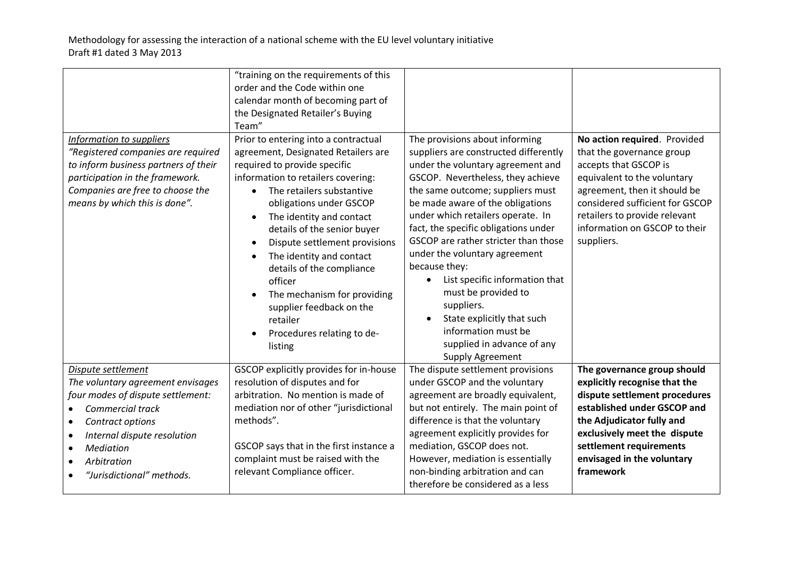|                                                                                                                                                                                                                                                                                                      | "training on the requirements of this<br>order and the Code within one<br>calendar month of becoming part of<br>the Designated Retailer's Buying<br>Team"                                                                                                                                                                                                                                                                                                                                                           |                                                                                                                                                                                                                                                                                                                                                                                                                                                                                                                                                                                                    |                                                                                                                                                                                                                                                                      |
|------------------------------------------------------------------------------------------------------------------------------------------------------------------------------------------------------------------------------------------------------------------------------------------------------|---------------------------------------------------------------------------------------------------------------------------------------------------------------------------------------------------------------------------------------------------------------------------------------------------------------------------------------------------------------------------------------------------------------------------------------------------------------------------------------------------------------------|----------------------------------------------------------------------------------------------------------------------------------------------------------------------------------------------------------------------------------------------------------------------------------------------------------------------------------------------------------------------------------------------------------------------------------------------------------------------------------------------------------------------------------------------------------------------------------------------------|----------------------------------------------------------------------------------------------------------------------------------------------------------------------------------------------------------------------------------------------------------------------|
| Information to suppliers<br>"Registered companies are required<br>to inform business partners of their<br>participation in the framework.<br>Companies are free to choose the<br>means by which this is done".                                                                                       | Prior to entering into a contractual<br>agreement, Designated Retailers are<br>required to provide specific<br>information to retailers covering:<br>The retailers substantive<br>$\bullet$<br>obligations under GSCOP<br>The identity and contact<br>$\bullet$<br>details of the senior buyer<br>Dispute settlement provisions<br>The identity and contact<br>details of the compliance<br>officer<br>The mechanism for providing<br>supplier feedback on the<br>retailer<br>Procedures relating to de-<br>listing | The provisions about informing<br>suppliers are constructed differently<br>under the voluntary agreement and<br>GSCOP. Nevertheless, they achieve<br>the same outcome; suppliers must<br>be made aware of the obligations<br>under which retailers operate. In<br>fact, the specific obligations under<br>GSCOP are rather stricter than those<br>under the voluntary agreement<br>because they:<br>List specific information that<br>$\bullet$<br>must be provided to<br>suppliers.<br>State explicitly that such<br>information must be<br>supplied in advance of any<br><b>Supply Agreement</b> | No action required. Provided<br>that the governance group<br>accepts that GSCOP is<br>equivalent to the voluntary<br>agreement, then it should be<br>considered sufficient for GSCOP<br>retailers to provide relevant<br>information on GSCOP to their<br>suppliers. |
| Dispute settlement<br>The voluntary agreement envisages<br>four modes of dispute settlement:<br><b>Commercial track</b><br>$\bullet$<br>Contract options<br>$\bullet$<br>Internal dispute resolution<br>$\bullet$<br>Mediation<br>$\bullet$<br>Arbitration<br>"Jurisdictional" methods.<br>$\bullet$ | GSCOP explicitly provides for in-house<br>resolution of disputes and for<br>arbitration. No mention is made of<br>mediation nor of other "jurisdictional<br>methods".<br>GSCOP says that in the first instance a<br>complaint must be raised with the<br>relevant Compliance officer.                                                                                                                                                                                                                               | The dispute settlement provisions<br>under GSCOP and the voluntary<br>agreement are broadly equivalent,<br>but not entirely. The main point of<br>difference is that the voluntary<br>agreement explicitly provides for<br>mediation, GSCOP does not.<br>However, mediation is essentially<br>non-binding arbitration and can<br>therefore be considered as a less                                                                                                                                                                                                                                 | The governance group should<br>explicitly recognise that the<br>dispute settlement procedures<br>established under GSCOP and<br>the Adjudicator fully and<br>exclusively meet the dispute<br>settlement requirements<br>envisaged in the voluntary<br>framework      |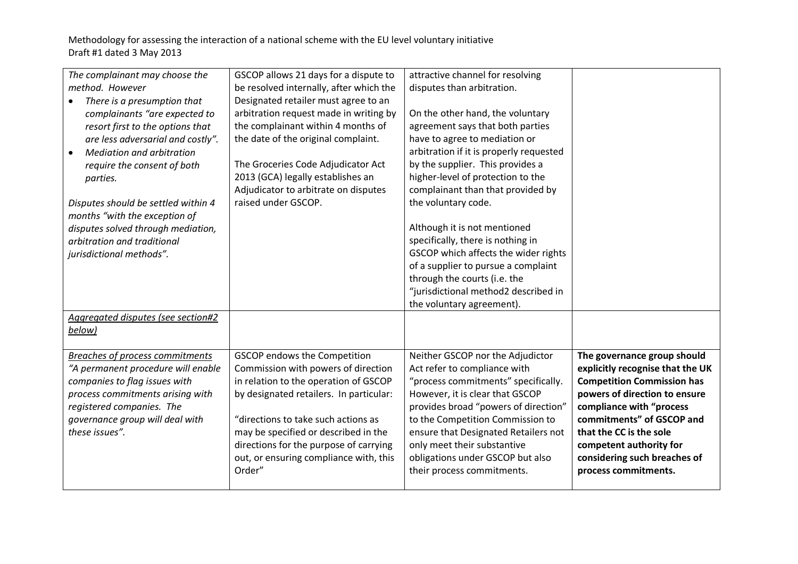| The complainant may choose the                | GSCOP allows 21 days for a dispute to   | attractive channel for resolving        |                                   |
|-----------------------------------------------|-----------------------------------------|-----------------------------------------|-----------------------------------|
| method. However                               | be resolved internally, after which the | disputes than arbitration.              |                                   |
| There is a presumption that                   | Designated retailer must agree to an    |                                         |                                   |
| complainants "are expected to                 | arbitration request made in writing by  | On the other hand, the voluntary        |                                   |
| resort first to the options that              | the complainant within 4 months of      | agreement says that both parties        |                                   |
| are less adversarial and costly".             | the date of the original complaint.     | have to agree to mediation or           |                                   |
| <b>Mediation and arbitration</b><br>$\bullet$ |                                         | arbitration if it is properly requested |                                   |
| require the consent of both                   | The Groceries Code Adjudicator Act      | by the supplier. This provides a        |                                   |
| parties.                                      | 2013 (GCA) legally establishes an       | higher-level of protection to the       |                                   |
|                                               | Adjudicator to arbitrate on disputes    | complainant than that provided by       |                                   |
| Disputes should be settled within 4           | raised under GSCOP.                     | the voluntary code.                     |                                   |
| months "with the exception of                 |                                         |                                         |                                   |
| disputes solved through mediation,            |                                         | Although it is not mentioned            |                                   |
| arbitration and traditional                   |                                         | specifically, there is nothing in       |                                   |
| jurisdictional methods".                      |                                         | GSCOP which affects the wider rights    |                                   |
|                                               |                                         | of a supplier to pursue a complaint     |                                   |
|                                               |                                         | through the courts (i.e. the            |                                   |
|                                               |                                         | "jurisdictional method2 described in    |                                   |
|                                               |                                         | the voluntary agreement).               |                                   |
| Aggregated disputes (see section#2            |                                         |                                         |                                   |
| below)                                        |                                         |                                         |                                   |
|                                               |                                         |                                         |                                   |
| Breaches of process commitments               | <b>GSCOP</b> endows the Competition     | Neither GSCOP nor the Adjudictor        | The governance group should       |
| "A permanent procedure will enable            | Commission with powers of direction     | Act refer to compliance with            | explicitly recognise that the UK  |
| companies to flag issues with                 | in relation to the operation of GSCOP   | "process commitments" specifically.     | <b>Competition Commission has</b> |
| process commitments arising with              | by designated retailers. In particular: | However, it is clear that GSCOP         | powers of direction to ensure     |
| registered companies. The                     |                                         | provides broad "powers of direction"    | compliance with "process          |
| governance group will deal with               | "directions to take such actions as     | to the Competition Commission to        | commitments" of GSCOP and         |
| these issues".                                | may be specified or described in the    | ensure that Designated Retailers not    | that the CC is the sole           |
|                                               | directions for the purpose of carrying  | only meet their substantive             | competent authority for           |
|                                               | out, or ensuring compliance with, this  | obligations under GSCOP but also        | considering such breaches of      |
|                                               | Order"                                  | their process commitments.              | process commitments.              |
|                                               |                                         |                                         |                                   |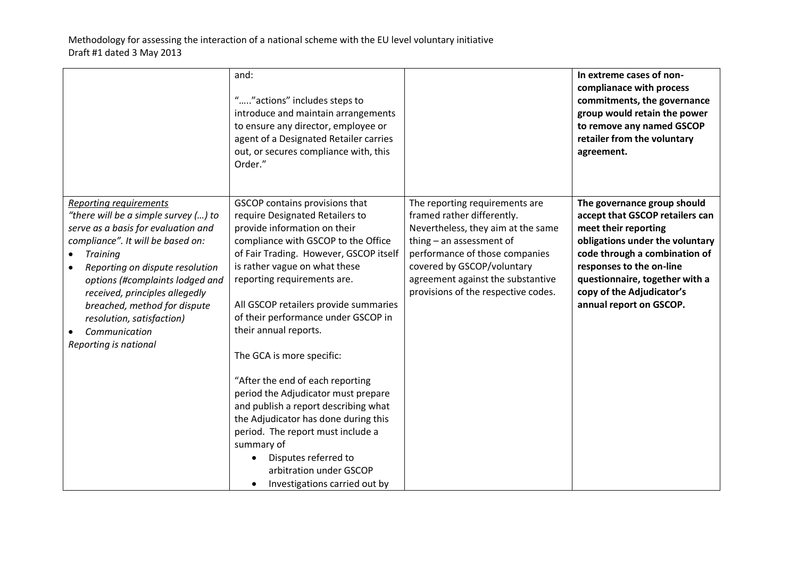|                                                                                                                                                                                                                                                                                                                                                                                     | and:<br>"" actions" includes steps to<br>introduce and maintain arrangements<br>to ensure any director, employee or<br>agent of a Designated Retailer carries<br>out, or secures compliance with, this<br>Order."                                                                                                                                                                                                                                                                                                                                                                                                                                                                                       |                                                                                                                                                                                                                                                                              | In extreme cases of non-<br>complianace with process<br>commitments, the governance<br>group would retain the power<br>to remove any named GSCOP<br>retailer from the voluntary<br>agreement.                                                                                    |
|-------------------------------------------------------------------------------------------------------------------------------------------------------------------------------------------------------------------------------------------------------------------------------------------------------------------------------------------------------------------------------------|---------------------------------------------------------------------------------------------------------------------------------------------------------------------------------------------------------------------------------------------------------------------------------------------------------------------------------------------------------------------------------------------------------------------------------------------------------------------------------------------------------------------------------------------------------------------------------------------------------------------------------------------------------------------------------------------------------|------------------------------------------------------------------------------------------------------------------------------------------------------------------------------------------------------------------------------------------------------------------------------|----------------------------------------------------------------------------------------------------------------------------------------------------------------------------------------------------------------------------------------------------------------------------------|
| <b>Reporting requirements</b><br>"there will be a simple survey () to<br>serve as a basis for evaluation and<br>compliance". It will be based on:<br><b>Training</b><br>Reporting on dispute resolution<br>options (#complaints lodged and<br>received, principles allegedly<br>breached, method for dispute<br>resolution, satisfaction)<br>Communication<br>Reporting is national | GSCOP contains provisions that<br>require Designated Retailers to<br>provide information on their<br>compliance with GSCOP to the Office<br>of Fair Trading. However, GSCOP itself<br>is rather vague on what these<br>reporting requirements are.<br>All GSCOP retailers provide summaries<br>of their performance under GSCOP in<br>their annual reports.<br>The GCA is more specific:<br>"After the end of each reporting<br>period the Adjudicator must prepare<br>and publish a report describing what<br>the Adjudicator has done during this<br>period. The report must include a<br>summary of<br>Disputes referred to<br>arbitration under GSCOP<br>Investigations carried out by<br>$\bullet$ | The reporting requirements are<br>framed rather differently.<br>Nevertheless, they aim at the same<br>thing $-$ an assessment of<br>performance of those companies<br>covered by GSCOP/voluntary<br>agreement against the substantive<br>provisions of the respective codes. | The governance group should<br>accept that GSCOP retailers can<br>meet their reporting<br>obligations under the voluntary<br>code through a combination of<br>responses to the on-line<br>questionnaire, together with a<br>copy of the Adjudicator's<br>annual report on GSCOP. |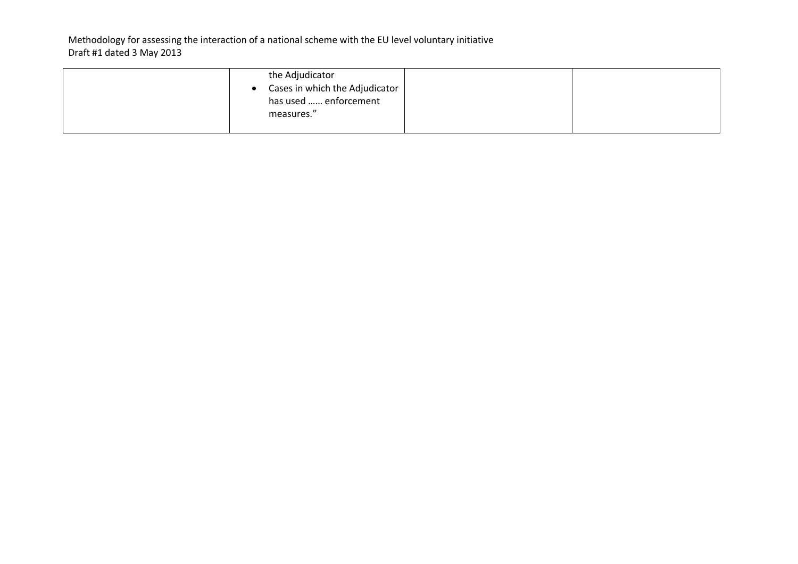| the Adjudicator<br>Cases in which the Adjudicator  <br>has used  enforcement<br>measures." |  |
|--------------------------------------------------------------------------------------------|--|
|                                                                                            |  |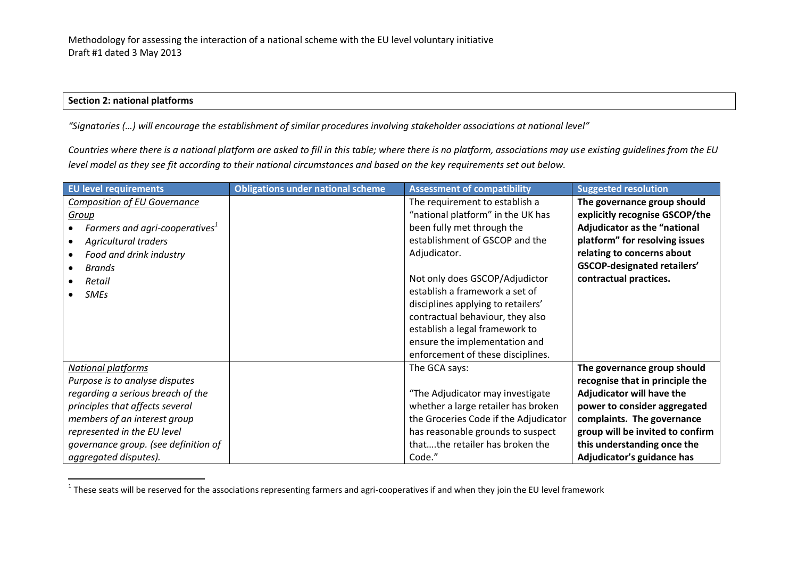## **Section 2: national platforms**

 $\overline{a}$ 

*"Signatories (…) will encourage the establishment of similar procedures involving stakeholder associations at national level"*

*Countries where there is a national platform are asked to fill in this table; where there is no platform, associations may use existing guidelines from the EU level model as they see fit according to their national circumstances and based on the key requirements set out below.* 

| <b>EU level requirements</b>               | <b>Obligations under national scheme</b> | <b>Assessment of compatibility</b>    | <b>Suggested resolution</b>         |
|--------------------------------------------|------------------------------------------|---------------------------------------|-------------------------------------|
| <b>Composition of EU Governance</b>        |                                          | The requirement to establish a        | The governance group should         |
| Group                                      |                                          | "national platform" in the UK has     | explicitly recognise GSCOP/the      |
| Farmers and agri-cooperatives <sup>1</sup> |                                          | been fully met through the            | <b>Adjudicator as the "national</b> |
| <b>Agricultural traders</b>                |                                          | establishment of GSCOP and the        | platform" for resolving issues      |
| Food and drink industry                    |                                          | Adjudicator.                          | relating to concerns about          |
| <b>Brands</b>                              |                                          |                                       | <b>GSCOP-designated retailers'</b>  |
| Retail                                     |                                          | Not only does GSCOP/Adjudictor        | contractual practices.              |
| <b>SMEs</b>                                |                                          | establish a framework a set of        |                                     |
|                                            |                                          | disciplines applying to retailers'    |                                     |
|                                            |                                          | contractual behaviour, they also      |                                     |
|                                            |                                          | establish a legal framework to        |                                     |
|                                            |                                          | ensure the implementation and         |                                     |
|                                            |                                          | enforcement of these disciplines.     |                                     |
| <b>National platforms</b>                  |                                          | The GCA says:                         | The governance group should         |
| Purpose is to analyse disputes             |                                          |                                       | recognise that in principle the     |
| regarding a serious breach of the          |                                          | "The Adjudicator may investigate      | Adjudicator will have the           |
| principles that affects several            |                                          | whether a large retailer has broken   | power to consider aggregated        |
| members of an interest group               |                                          | the Groceries Code if the Adjudicator | complaints. The governance          |
| represented in the EU level                |                                          | has reasonable grounds to suspect     | group will be invited to confirm    |
| governance group. (see definition of       |                                          | thatthe retailer has broken the       | this understanding once the         |
| aggregated disputes).                      |                                          | Code."                                | Adjudicator's guidance has          |

 $^1$  These seats will be reserved for the associations representing farmers and agri-cooperatives if and when they join the EU level framework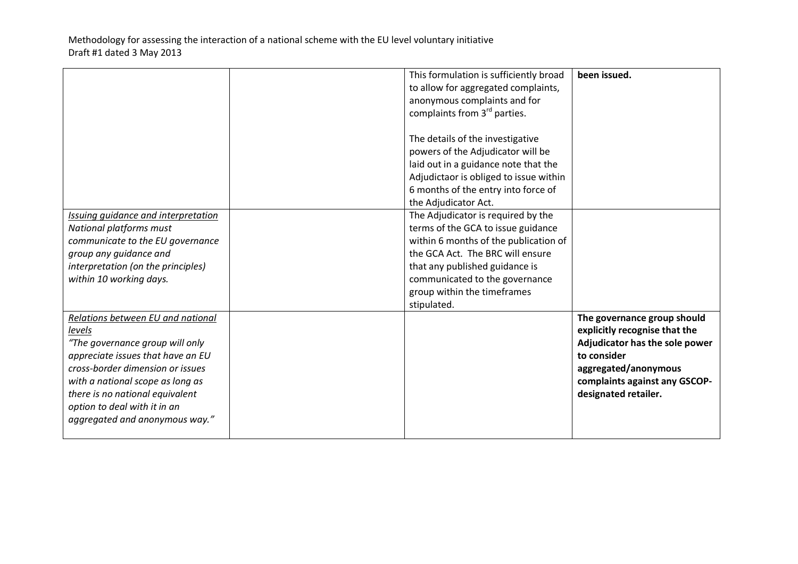|                                     | This formulation is sufficiently broad   | been issued.                   |
|-------------------------------------|------------------------------------------|--------------------------------|
|                                     | to allow for aggregated complaints,      |                                |
|                                     | anonymous complaints and for             |                                |
|                                     | complaints from 3 <sup>rd</sup> parties. |                                |
|                                     |                                          |                                |
|                                     | The details of the investigative         |                                |
|                                     | powers of the Adjudicator will be        |                                |
|                                     | laid out in a guidance note that the     |                                |
|                                     | Adjudictaor is obliged to issue within   |                                |
|                                     | 6 months of the entry into force of      |                                |
|                                     | the Adjudicator Act.                     |                                |
| Issuing guidance and interpretation | The Adjudicator is required by the       |                                |
| <b>National platforms must</b>      | terms of the GCA to issue guidance       |                                |
| communicate to the EU governance    | within 6 months of the publication of    |                                |
| group any guidance and              | the GCA Act. The BRC will ensure         |                                |
|                                     |                                          |                                |
| interpretation (on the principles)  | that any published guidance is           |                                |
| within 10 working days.             | communicated to the governance           |                                |
|                                     | group within the timeframes              |                                |
|                                     | stipulated.                              |                                |
| Relations between EU and national   |                                          | The governance group should    |
| levels                              |                                          | explicitly recognise that the  |
| "The governance group will only     |                                          | Adjudicator has the sole power |
| appreciate issues that have an EU   |                                          | to consider                    |
| cross-border dimension or issues    |                                          | aggregated/anonymous           |
| with a national scope as long as    |                                          | complaints against any GSCOP-  |
| there is no national equivalent     |                                          | designated retailer.           |
| option to deal with it in an        |                                          |                                |
| aggregated and anonymous way."      |                                          |                                |
|                                     |                                          |                                |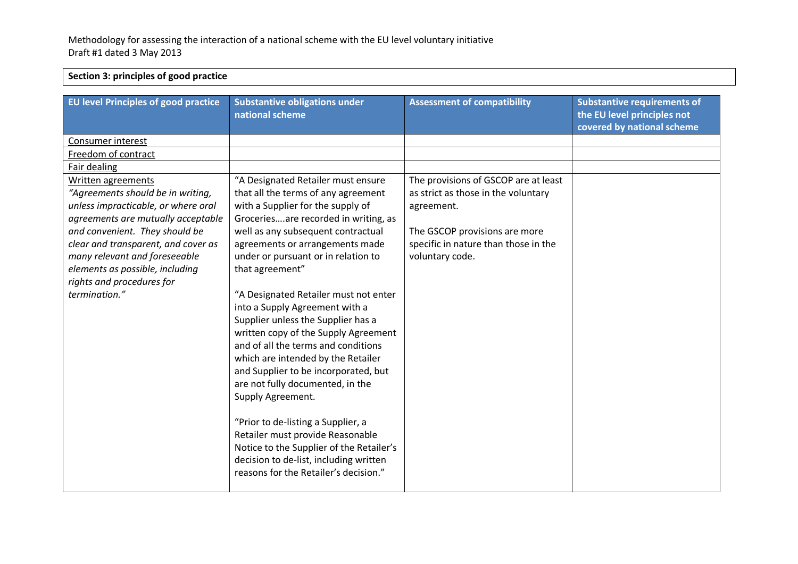## **Section 3: principles of good practice**

| <b>EU level Principles of good practice</b>                                                                                                                                                                                                                                                                                     | <b>Substantive obligations under</b><br>national scheme                                                                                                                                                                                                                                                                                                                                                                                                                                                                                                                                                                                                                                                                                                | <b>Assessment of compatibility</b>                                                                                                                                                    | <b>Substantive requirements of</b><br>the EU level principles not<br>covered by national scheme |
|---------------------------------------------------------------------------------------------------------------------------------------------------------------------------------------------------------------------------------------------------------------------------------------------------------------------------------|--------------------------------------------------------------------------------------------------------------------------------------------------------------------------------------------------------------------------------------------------------------------------------------------------------------------------------------------------------------------------------------------------------------------------------------------------------------------------------------------------------------------------------------------------------------------------------------------------------------------------------------------------------------------------------------------------------------------------------------------------------|---------------------------------------------------------------------------------------------------------------------------------------------------------------------------------------|-------------------------------------------------------------------------------------------------|
| Consumer interest                                                                                                                                                                                                                                                                                                               |                                                                                                                                                                                                                                                                                                                                                                                                                                                                                                                                                                                                                                                                                                                                                        |                                                                                                                                                                                       |                                                                                                 |
| Freedom of contract                                                                                                                                                                                                                                                                                                             |                                                                                                                                                                                                                                                                                                                                                                                                                                                                                                                                                                                                                                                                                                                                                        |                                                                                                                                                                                       |                                                                                                 |
| Fair dealing                                                                                                                                                                                                                                                                                                                    |                                                                                                                                                                                                                                                                                                                                                                                                                                                                                                                                                                                                                                                                                                                                                        |                                                                                                                                                                                       |                                                                                                 |
| Written agreements<br>"Agreements should be in writing,<br>unless impracticable, or where oral<br>agreements are mutually acceptable<br>and convenient. They should be<br>clear and transparent, and cover as<br>many relevant and foreseeable<br>elements as possible, including<br>rights and procedures for<br>termination." | "A Designated Retailer must ensure<br>that all the terms of any agreement<br>with a Supplier for the supply of<br>Groceriesare recorded in writing, as<br>well as any subsequent contractual<br>agreements or arrangements made<br>under or pursuant or in relation to<br>that agreement"<br>"A Designated Retailer must not enter<br>into a Supply Agreement with a<br>Supplier unless the Supplier has a<br>written copy of the Supply Agreement<br>and of all the terms and conditions<br>which are intended by the Retailer<br>and Supplier to be incorporated, but<br>are not fully documented, in the<br>Supply Agreement.<br>"Prior to de-listing a Supplier, a<br>Retailer must provide Reasonable<br>Notice to the Supplier of the Retailer's | The provisions of GSCOP are at least<br>as strict as those in the voluntary<br>agreement.<br>The GSCOP provisions are more<br>specific in nature than those in the<br>voluntary code. |                                                                                                 |
|                                                                                                                                                                                                                                                                                                                                 | decision to de-list, including written<br>reasons for the Retailer's decision."                                                                                                                                                                                                                                                                                                                                                                                                                                                                                                                                                                                                                                                                        |                                                                                                                                                                                       |                                                                                                 |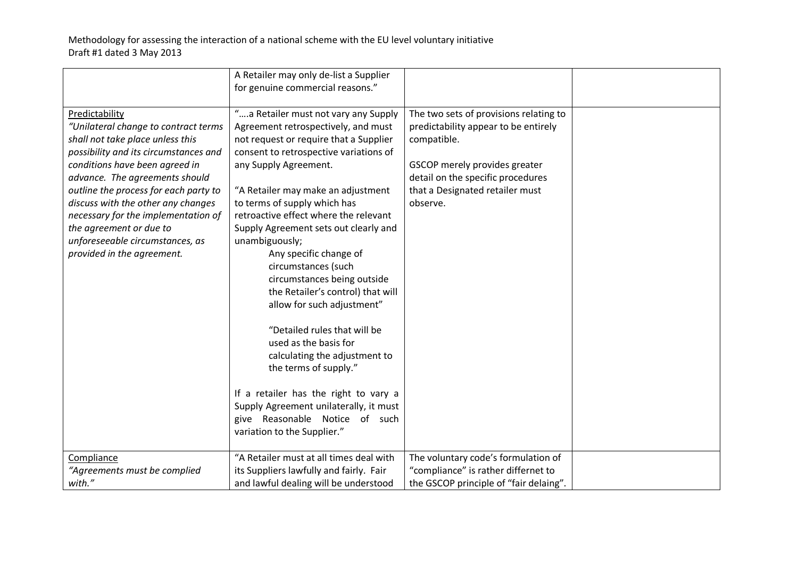|                                                                                                                                                                                                                                                                                                                                                                                                                           | A Retailer may only de-list a Supplier                                                                                                                                                                                                                                                                                                                                                                                                                                                                                                                                                                                                                                                                                                                        |                                                                                                                                                                                                                    |  |
|---------------------------------------------------------------------------------------------------------------------------------------------------------------------------------------------------------------------------------------------------------------------------------------------------------------------------------------------------------------------------------------------------------------------------|---------------------------------------------------------------------------------------------------------------------------------------------------------------------------------------------------------------------------------------------------------------------------------------------------------------------------------------------------------------------------------------------------------------------------------------------------------------------------------------------------------------------------------------------------------------------------------------------------------------------------------------------------------------------------------------------------------------------------------------------------------------|--------------------------------------------------------------------------------------------------------------------------------------------------------------------------------------------------------------------|--|
|                                                                                                                                                                                                                                                                                                                                                                                                                           | for genuine commercial reasons."                                                                                                                                                                                                                                                                                                                                                                                                                                                                                                                                                                                                                                                                                                                              |                                                                                                                                                                                                                    |  |
| Predictability<br>"Unilateral change to contract terms<br>shall not take place unless this<br>possibility and its circumstances and<br>conditions have been agreed in<br>advance. The agreements should<br>outline the process for each party to<br>discuss with the other any changes<br>necessary for the implementation of<br>the agreement or due to<br>unforeseeable circumstances, as<br>provided in the agreement. | "a Retailer must not vary any Supply<br>Agreement retrospectively, and must<br>not request or require that a Supplier<br>consent to retrospective variations of<br>any Supply Agreement.<br>"A Retailer may make an adjustment<br>to terms of supply which has<br>retroactive effect where the relevant<br>Supply Agreement sets out clearly and<br>unambiguously;<br>Any specific change of<br>circumstances (such<br>circumstances being outside<br>the Retailer's control) that will<br>allow for such adjustment"<br>"Detailed rules that will be<br>used as the basis for<br>calculating the adjustment to<br>the terms of supply."<br>If a retailer has the right to vary a<br>Supply Agreement unilaterally, it must<br>give Reasonable Notice of such | The two sets of provisions relating to<br>predictability appear to be entirely<br>compatible.<br>GSCOP merely provides greater<br>detail on the specific procedures<br>that a Designated retailer must<br>observe. |  |
|                                                                                                                                                                                                                                                                                                                                                                                                                           | variation to the Supplier."                                                                                                                                                                                                                                                                                                                                                                                                                                                                                                                                                                                                                                                                                                                                   |                                                                                                                                                                                                                    |  |
| Compliance                                                                                                                                                                                                                                                                                                                                                                                                                | "A Retailer must at all times deal with                                                                                                                                                                                                                                                                                                                                                                                                                                                                                                                                                                                                                                                                                                                       | The voluntary code's formulation of                                                                                                                                                                                |  |
| "Agreements must be complied                                                                                                                                                                                                                                                                                                                                                                                              | its Suppliers lawfully and fairly. Fair                                                                                                                                                                                                                                                                                                                                                                                                                                                                                                                                                                                                                                                                                                                       | "compliance" is rather differnet to                                                                                                                                                                                |  |
| with."                                                                                                                                                                                                                                                                                                                                                                                                                    | and lawful dealing will be understood                                                                                                                                                                                                                                                                                                                                                                                                                                                                                                                                                                                                                                                                                                                         | the GSCOP principle of "fair delaing".                                                                                                                                                                             |  |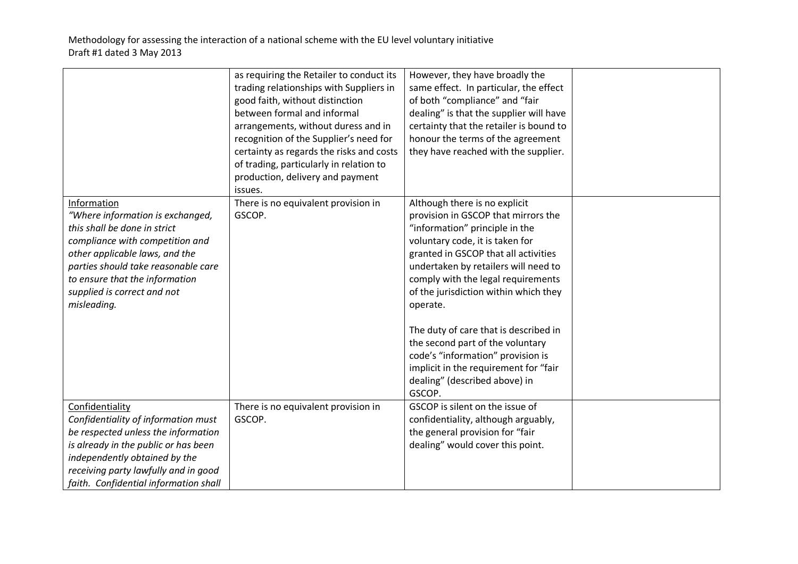|                                                                                                                                                                                                                                                                             | as requiring the Retailer to conduct its<br>trading relationships with Suppliers in<br>good faith, without distinction<br>between formal and informal<br>arrangements, without duress and in<br>recognition of the Supplier's need for<br>certainty as regards the risks and costs<br>of trading, particularly in relation to<br>production, delivery and payment<br>issues. | However, they have broadly the<br>same effect. In particular, the effect<br>of both "compliance" and "fair<br>dealing" is that the supplier will have<br>certainty that the retailer is bound to<br>honour the terms of the agreement<br>they have reached with the supplier.                                                                                                                                                                                                                                              |  |
|-----------------------------------------------------------------------------------------------------------------------------------------------------------------------------------------------------------------------------------------------------------------------------|------------------------------------------------------------------------------------------------------------------------------------------------------------------------------------------------------------------------------------------------------------------------------------------------------------------------------------------------------------------------------|----------------------------------------------------------------------------------------------------------------------------------------------------------------------------------------------------------------------------------------------------------------------------------------------------------------------------------------------------------------------------------------------------------------------------------------------------------------------------------------------------------------------------|--|
| Information<br>"Where information is exchanged,<br>this shall be done in strict<br>compliance with competition and<br>other applicable laws, and the<br>parties should take reasonable care<br>to ensure that the information<br>supplied is correct and not<br>misleading. | There is no equivalent provision in<br>GSCOP.                                                                                                                                                                                                                                                                                                                                | Although there is no explicit<br>provision in GSCOP that mirrors the<br>"information" principle in the<br>voluntary code, it is taken for<br>granted in GSCOP that all activities<br>undertaken by retailers will need to<br>comply with the legal requirements<br>of the jurisdiction within which they<br>operate.<br>The duty of care that is described in<br>the second part of the voluntary<br>code's "information" provision is<br>implicit in the requirement for "fair<br>dealing" (described above) in<br>GSCOP. |  |
| Confidentiality<br>Confidentiality of information must<br>be respected unless the information<br>is already in the public or has been<br>independently obtained by the<br>receiving party lawfully and in good<br>faith. Confidential information shall                     | There is no equivalent provision in<br>GSCOP.                                                                                                                                                                                                                                                                                                                                | GSCOP is silent on the issue of<br>confidentiality, although arguably,<br>the general provision for "fair<br>dealing" would cover this point.                                                                                                                                                                                                                                                                                                                                                                              |  |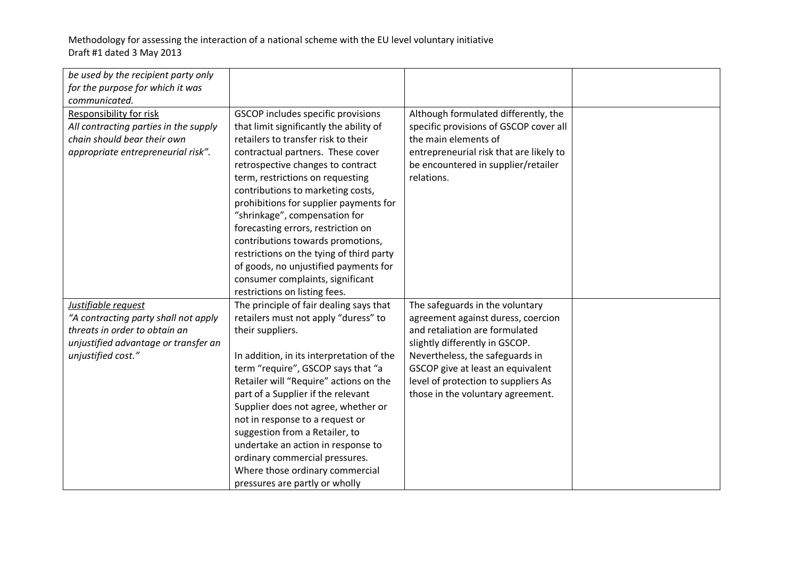| be used by the recipient party only<br>for the purpose for which it was |                                           |                                         |  |
|-------------------------------------------------------------------------|-------------------------------------------|-----------------------------------------|--|
| communicated.                                                           |                                           |                                         |  |
| <b>Responsibility for risk</b>                                          | GSCOP includes specific provisions        | Although formulated differently, the    |  |
| All contracting parties in the supply                                   | that limit significantly the ability of   | specific provisions of GSCOP cover all  |  |
| chain should bear their own                                             | retailers to transfer risk to their       | the main elements of                    |  |
| appropriate entrepreneurial risk".                                      | contractual partners. These cover         | entrepreneurial risk that are likely to |  |
|                                                                         | retrospective changes to contract         | be encountered in supplier/retailer     |  |
|                                                                         | term, restrictions on requesting          | relations.                              |  |
|                                                                         | contributions to marketing costs,         |                                         |  |
|                                                                         | prohibitions for supplier payments for    |                                         |  |
|                                                                         | "shrinkage", compensation for             |                                         |  |
|                                                                         | forecasting errors, restriction on        |                                         |  |
|                                                                         | contributions towards promotions,         |                                         |  |
|                                                                         | restrictions on the tying of third party  |                                         |  |
|                                                                         | of goods, no unjustified payments for     |                                         |  |
|                                                                         | consumer complaints, significant          |                                         |  |
|                                                                         | restrictions on listing fees.             |                                         |  |
| Justifiable request                                                     | The principle of fair dealing says that   | The safeguards in the voluntary         |  |
| "A contracting party shall not apply                                    | retailers must not apply "duress" to      | agreement against duress, coercion      |  |
| threats in order to obtain an                                           | their suppliers.                          | and retaliation are formulated          |  |
| unjustified advantage or transfer an                                    |                                           | slightly differently in GSCOP.          |  |
| unjustified cost."                                                      | In addition, in its interpretation of the | Nevertheless, the safeguards in         |  |
|                                                                         | term "require", GSCOP says that "a        | GSCOP give at least an equivalent       |  |
|                                                                         | Retailer will "Require" actions on the    | level of protection to suppliers As     |  |
|                                                                         | part of a Supplier if the relevant        | those in the voluntary agreement.       |  |
|                                                                         | Supplier does not agree, whether or       |                                         |  |
|                                                                         | not in response to a request or           |                                         |  |
|                                                                         | suggestion from a Retailer, to            |                                         |  |
|                                                                         | undertake an action in response to        |                                         |  |
|                                                                         | ordinary commercial pressures.            |                                         |  |
|                                                                         | Where those ordinary commercial           |                                         |  |
|                                                                         | pressures are partly or wholly            |                                         |  |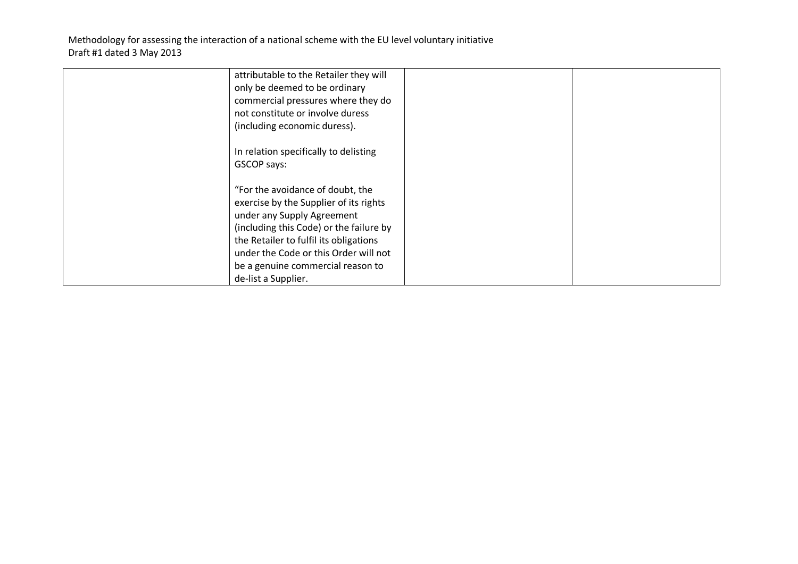| attributable to the Retailer they will  |  |
|-----------------------------------------|--|
| only be deemed to be ordinary           |  |
| commercial pressures where they do      |  |
| not constitute or involve duress        |  |
| (including economic duress).            |  |
| In relation specifically to delisting   |  |
| GSCOP says:                             |  |
| "For the avoidance of doubt, the        |  |
| exercise by the Supplier of its rights  |  |
| under any Supply Agreement              |  |
| (including this Code) or the failure by |  |
| the Retailer to fulfil its obligations  |  |
| under the Code or this Order will not   |  |
|                                         |  |
| be a genuine commercial reason to       |  |
| de-list a Supplier.                     |  |